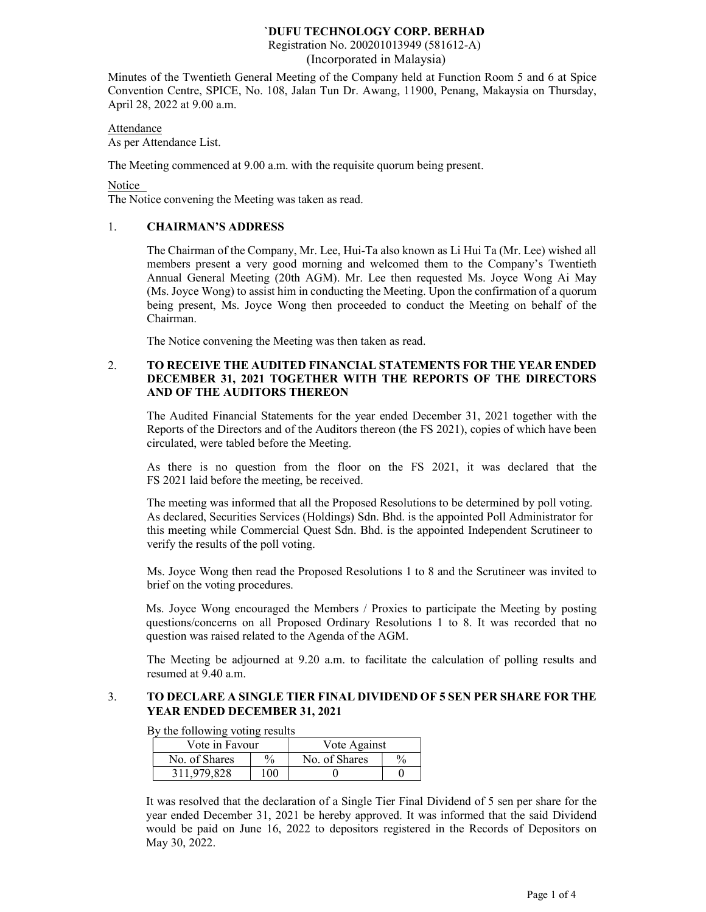Registration No. 200201013949 (581612-A) (Incorporated in Malaysia)

Minutes of the Twentieth General Meeting of the Company held at Function Room 5 and 6 at Spice Convention Centre, SPICE, No. 108, Jalan Tun Dr. Awang, 11900, Penang, Makaysia on Thursday, April 28, 2022 at 9.00 a.m.

Attendance As per Attendance List.

The Meeting commenced at 9.00 a.m. with the requisite quorum being present.

Notice

The Notice convening the Meeting was taken as read.

## 1. CHAIRMAN'S ADDRESS

The Chairman of the Company, Mr. Lee, Hui-Ta also known as Li Hui Ta (Mr. Lee) wished all members present a very good morning and welcomed them to the Company's Twentieth Annual General Meeting (20th AGM). Mr. Lee then requested Ms. Joyce Wong Ai May (Ms. Joyce Wong) to assist him in conducting the Meeting. Upon the confirmation of a quorum being present, Ms. Joyce Wong then proceeded to conduct the Meeting on behalf of the Chairman.

The Notice convening the Meeting was then taken as read.

### 2. TO RECEIVE THE AUDITED FINANCIAL STATEMENTS FOR THE YEAR ENDED DECEMBER 31, 2021 TOGETHER WITH THE REPORTS OF THE DIRECTORS AND OF THE AUDITORS THEREON

The Audited Financial Statements for the year ended December 31, 2021 together with the Reports of the Directors and of the Auditors thereon (the FS 2021), copies of which have been circulated, were tabled before the Meeting.

As there is no question from the floor on the FS 2021, it was declared that the FS 2021 laid before the meeting, be received.

The meeting was informed that all the Proposed Resolutions to be determined by poll voting. As declared, Securities Services (Holdings) Sdn. Bhd. is the appointed Poll Administrator for this meeting while Commercial Quest Sdn. Bhd. is the appointed Independent Scrutineer to verify the results of the poll voting.

Ms. Joyce Wong then read the Proposed Resolutions 1 to 8 and the Scrutineer was invited to brief on the voting procedures.

Ms. Joyce Wong encouraged the Members / Proxies to participate the Meeting by posting questions/concerns on all Proposed Ordinary Resolutions 1 to 8. It was recorded that no question was raised related to the Agenda of the AGM.

The Meeting be adjourned at 9.20 a.m. to facilitate the calculation of polling results and resumed at 9.40 a.m.

### 3. TO DECLARE A SINGLE TIER FINAL DIVIDEND OF 5 SEN PER SHARE FOR THE YEAR ENDED DECEMBER 31, 2021

By the following voting results

| Vote in Favour |               | Vote Against  |               |
|----------------|---------------|---------------|---------------|
| No. of Shares  | $\frac{0}{0}$ | No. of Shares | $\frac{0}{0}$ |
| 311.979.828    | 100           |               |               |

It was resolved that the declaration of a Single Tier Final Dividend of 5 sen per share for the year ended December 31, 2021 be hereby approved. It was informed that the said Dividend would be paid on June 16, 2022 to depositors registered in the Records of Depositors on May 30, 2022.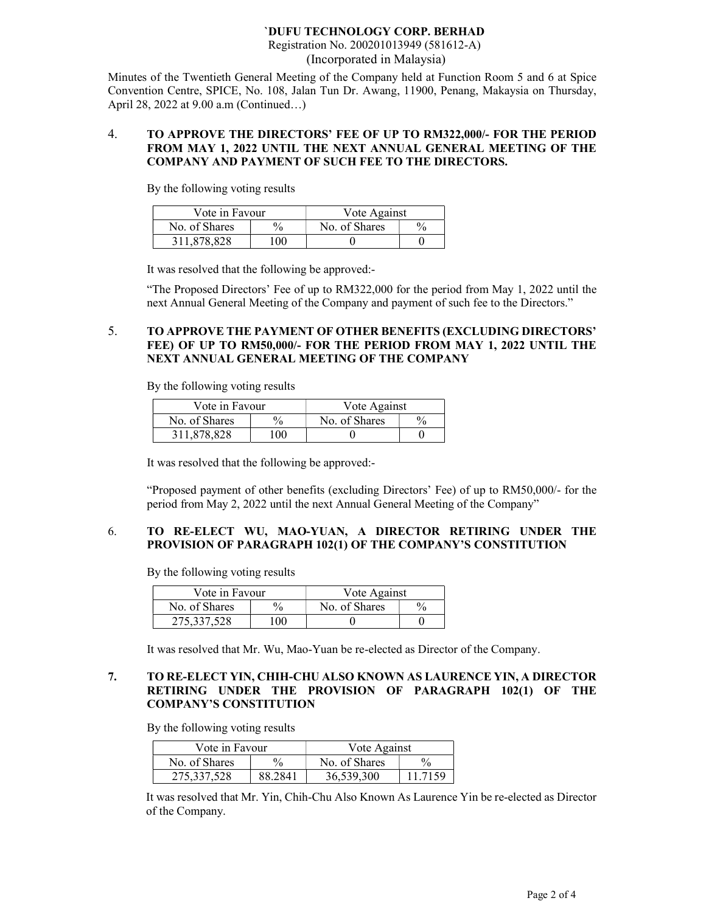Registration No. 200201013949 (581612-A) (Incorporated in Malaysia)

Minutes of the Twentieth General Meeting of the Company held at Function Room 5 and 6 at Spice Convention Centre, SPICE, No. 108, Jalan Tun Dr. Awang, 11900, Penang, Makaysia on Thursday, April 28, 2022 at 9.00 a.m (Continued…)

#### 4. TO APPROVE THE DIRECTORS' FEE OF UP TO RM322,000/- FOR THE PERIOD FROM MAY 1, 2022 UNTIL THE NEXT ANNUAL GENERAL MEETING OF THE COMPANY AND PAYMENT OF SUCH FEE TO THE DIRECTORS.

By the following voting results

| Vote in Favour |      | Vote Against  |  |
|----------------|------|---------------|--|
| No. of Shares  | $\%$ | No. of Shares |  |
| 311,878,828    | 100  |               |  |

It was resolved that the following be approved:-

"The Proposed Directors' Fee of up to RM322,000 for the period from May 1, 2022 until the next Annual General Meeting of the Company and payment of such fee to the Directors."

### 5. TO APPROVE THE PAYMENT OF OTHER BENEFITS (EXCLUDING DIRECTORS' FEE) OF UP TO RM50,000/- FOR THE PERIOD FROM MAY 1, 2022 UNTIL THE NEXT ANNUAL GENERAL MEETING OF THE COMPANY

By the following voting results

| Vote in Favour |               | Vote Against  |  |
|----------------|---------------|---------------|--|
| No. of Shares  | $\frac{0}{0}$ | No. of Shares |  |
| 311,878,828    | $00^{\circ}$  |               |  |

It was resolved that the following be approved:-

"Proposed payment of other benefits (excluding Directors' Fee) of up to RM50,000/- for the period from May 2, 2022 until the next Annual General Meeting of the Company"

### 6. TO RE-ELECT WU, MAO-YUAN, A DIRECTOR RETIRING UNDER THE PROVISION OF PARAGRAPH 102(1) OF THE COMPANY'S CONSTITUTION

By the following voting results

| Vote in Favour |                 | Vote Against  |  |
|----------------|-----------------|---------------|--|
| No. of Shares  | $\frac{0}{0}$   | No. of Shares |  |
| 275.337.528    | 00 <sup>1</sup> |               |  |

It was resolved that Mr. Wu, Mao-Yuan be re-elected as Director of the Company.

## 7. TO RE-ELECT YIN, CHIH-CHU ALSO KNOWN AS LAURENCE YIN, A DIRECTOR RETIRING UNDER THE PROVISION OF PARAGRAPH 102(1) OF THE COMPANY'S CONSTITUTION

By the following voting results

| Vote in Favour |               | Vote Against  |               |
|----------------|---------------|---------------|---------------|
| No. of Shares  | $\frac{0}{0}$ | No. of Shares | $\frac{0}{0}$ |
| 275,337,528    | 88.2841       | 36,539,300    | 11.7159       |

It was resolved that Mr. Yin, Chih-Chu Also Known As Laurence Yin be re-elected as Director of the Company.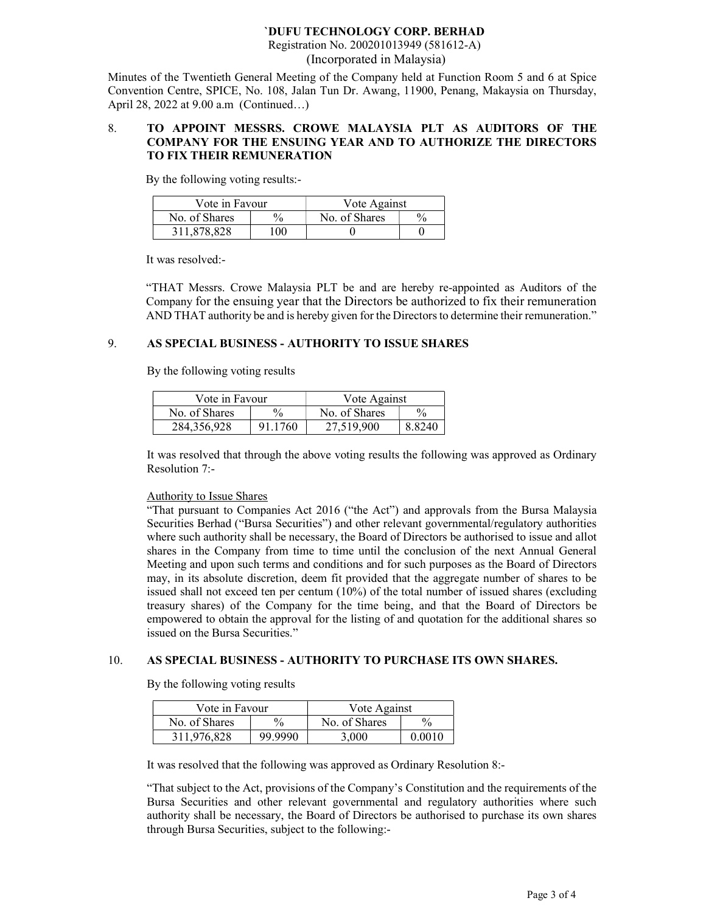Registration No. 200201013949 (581612-A) (Incorporated in Malaysia)

Minutes of the Twentieth General Meeting of the Company held at Function Room 5 and 6 at Spice Convention Centre, SPICE, No. 108, Jalan Tun Dr. Awang, 11900, Penang, Makaysia on Thursday, April 28, 2022 at 9.00 a.m (Continued…)

### 8. TO APPOINT MESSRS. CROWE MALAYSIA PLT AS AUDITORS OF THE COMPANY FOR THE ENSUING YEAR AND TO AUTHORIZE THE DIRECTORS TO FIX THEIR REMUNERATION

By the following voting results:-

| Vote in Favour |      | Vote Against  |               |
|----------------|------|---------------|---------------|
| No. of Shares  | $\%$ | No. of Shares | $\frac{0}{0}$ |
| 311,878,828    | 100. |               |               |

It was resolved:-

"THAT Messrs. Crowe Malaysia PLT be and are hereby re-appointed as Auditors of the Company for the ensuing year that the Directors be authorized to fix their remuneration AND THAT authority be and is hereby given for the Directors to determine their remuneration."

### 9. AS SPECIAL BUSINESS - AUTHORITY TO ISSUE SHARES

By the following voting results

| Vote in Favour |         | Vote Against  |               |
|----------------|---------|---------------|---------------|
| No. of Shares  | $\%$    | No. of Shares | $\frac{0}{0}$ |
| 284, 356, 928  | 91.1760 | 27,519,900    | 8.8240        |

It was resolved that through the above voting results the following was approved as Ordinary Resolution 7:-

#### Authority to Issue Shares

"That pursuant to Companies Act 2016 ("the Act") and approvals from the Bursa Malaysia Securities Berhad ("Bursa Securities") and other relevant governmental/regulatory authorities where such authority shall be necessary, the Board of Directors be authorised to issue and allot shares in the Company from time to time until the conclusion of the next Annual General Meeting and upon such terms and conditions and for such purposes as the Board of Directors may, in its absolute discretion, deem fit provided that the aggregate number of shares to be issued shall not exceed ten per centum (10%) of the total number of issued shares (excluding treasury shares) of the Company for the time being, and that the Board of Directors be empowered to obtain the approval for the listing of and quotation for the additional shares so issued on the Bursa Securities."

#### 10. AS SPECIAL BUSINESS - AUTHORITY TO PURCHASE ITS OWN SHARES.

By the following voting results

| Vote in Favour |               | Vote Against  |        |
|----------------|---------------|---------------|--------|
| No. of Shares  | $\frac{0}{0}$ | No. of Shares | $\%$   |
| 311,976,828    | 99.9990       | 3,000         | 0.0010 |

It was resolved that the following was approved as Ordinary Resolution 8:-

"That subject to the Act, provisions of the Company's Constitution and the requirements of the Bursa Securities and other relevant governmental and regulatory authorities where such authority shall be necessary, the Board of Directors be authorised to purchase its own shares through Bursa Securities, subject to the following:-